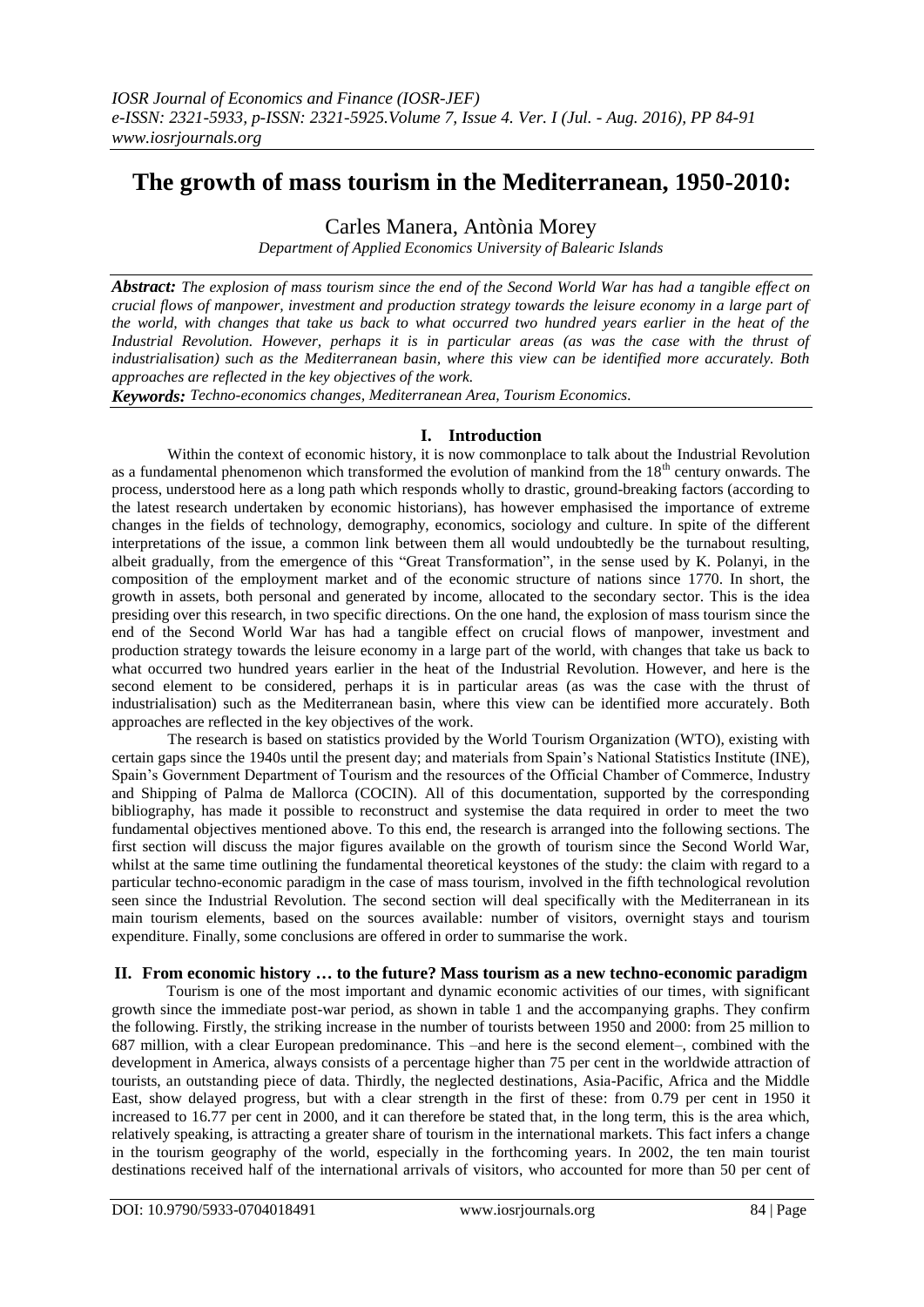# **The growth of mass tourism in the Mediterranean, 1950-2010:**

Carles Manera, Antònia Morey

*Department of Applied Economics University of Balearic Islands*

*Abstract: The explosion of mass tourism since the end of the Second World War has had a tangible effect on crucial flows of manpower, investment and production strategy towards the leisure economy in a large part of the world, with changes that take us back to what occurred two hundred years earlier in the heat of the Industrial Revolution. However, perhaps it is in particular areas (as was the case with the thrust of industrialisation) such as the Mediterranean basin, where this view can be identified more accurately. Both approaches are reflected in the key objectives of the work.*

*Keywords: Techno-economics changes, Mediterranean Area, Tourism Economics.* 

## **I. Introduction**

Within the context of economic history, it is now commonplace to talk about the Industrial Revolution as a fundamental phenomenon which transformed the evolution of mankind from the 18<sup>th</sup> century onwards. The process, understood here as a long path which responds wholly to drastic, ground-breaking factors (according to the latest research undertaken by economic historians), has however emphasised the importance of extreme changes in the fields of technology, demography, economics, sociology and culture. In spite of the different interpretations of the issue, a common link between them all would undoubtedly be the turnabout resulting, albeit gradually, from the emergence of this "Great Transformation", in the sense used by K. Polanyi, in the composition of the employment market and of the economic structure of nations since 1770. In short, the growth in assets, both personal and generated by income, allocated to the secondary sector. This is the idea presiding over this research, in two specific directions. On the one hand, the explosion of mass tourism since the end of the Second World War has had a tangible effect on crucial flows of manpower, investment and production strategy towards the leisure economy in a large part of the world, with changes that take us back to what occurred two hundred years earlier in the heat of the Industrial Revolution. However, and here is the second element to be considered, perhaps it is in particular areas (as was the case with the thrust of industrialisation) such as the Mediterranean basin, where this view can be identified more accurately. Both approaches are reflected in the key objectives of the work.

The research is based on statistics provided by the World Tourism Organization (WTO), existing with certain gaps since the 1940s until the present day; and materials from Spain"s National Statistics Institute (INE), Spain"s Government Department of Tourism and the resources of the Official Chamber of Commerce, Industry and Shipping of Palma de Mallorca (COCIN). All of this documentation, supported by the corresponding bibliography, has made it possible to reconstruct and systemise the data required in order to meet the two fundamental objectives mentioned above. To this end, the research is arranged into the following sections. The first section will discuss the major figures available on the growth of tourism since the Second World War, whilst at the same time outlining the fundamental theoretical keystones of the study: the claim with regard to a particular techno-economic paradigm in the case of mass tourism, involved in the fifth technological revolution seen since the Industrial Revolution. The second section will deal specifically with the Mediterranean in its main tourism elements, based on the sources available: number of visitors, overnight stays and tourism expenditure. Finally, some conclusions are offered in order to summarise the work.

## **II. From economic history … to the future? Mass tourism as a new techno-economic paradigm**

Tourism is one of the most important and dynamic economic activities of our times, with significant growth since the immediate post-war period, as shown in table 1 and the accompanying graphs. They confirm the following. Firstly, the striking increase in the number of tourists between 1950 and 2000: from 25 million to 687 million, with a clear European predominance. This –and here is the second element–, combined with the development in America, always consists of a percentage higher than 75 per cent in the worldwide attraction of tourists, an outstanding piece of data. Thirdly, the neglected destinations, Asia-Pacific, Africa and the Middle East, show delayed progress, but with a clear strength in the first of these: from 0.79 per cent in 1950 it increased to 16.77 per cent in 2000, and it can therefore be stated that, in the long term, this is the area which, relatively speaking, is attracting a greater share of tourism in the international markets. This fact infers a change in the tourism geography of the world, especially in the forthcoming years. In 2002, the ten main tourist destinations received half of the international arrivals of visitors, who accounted for more than 50 per cent of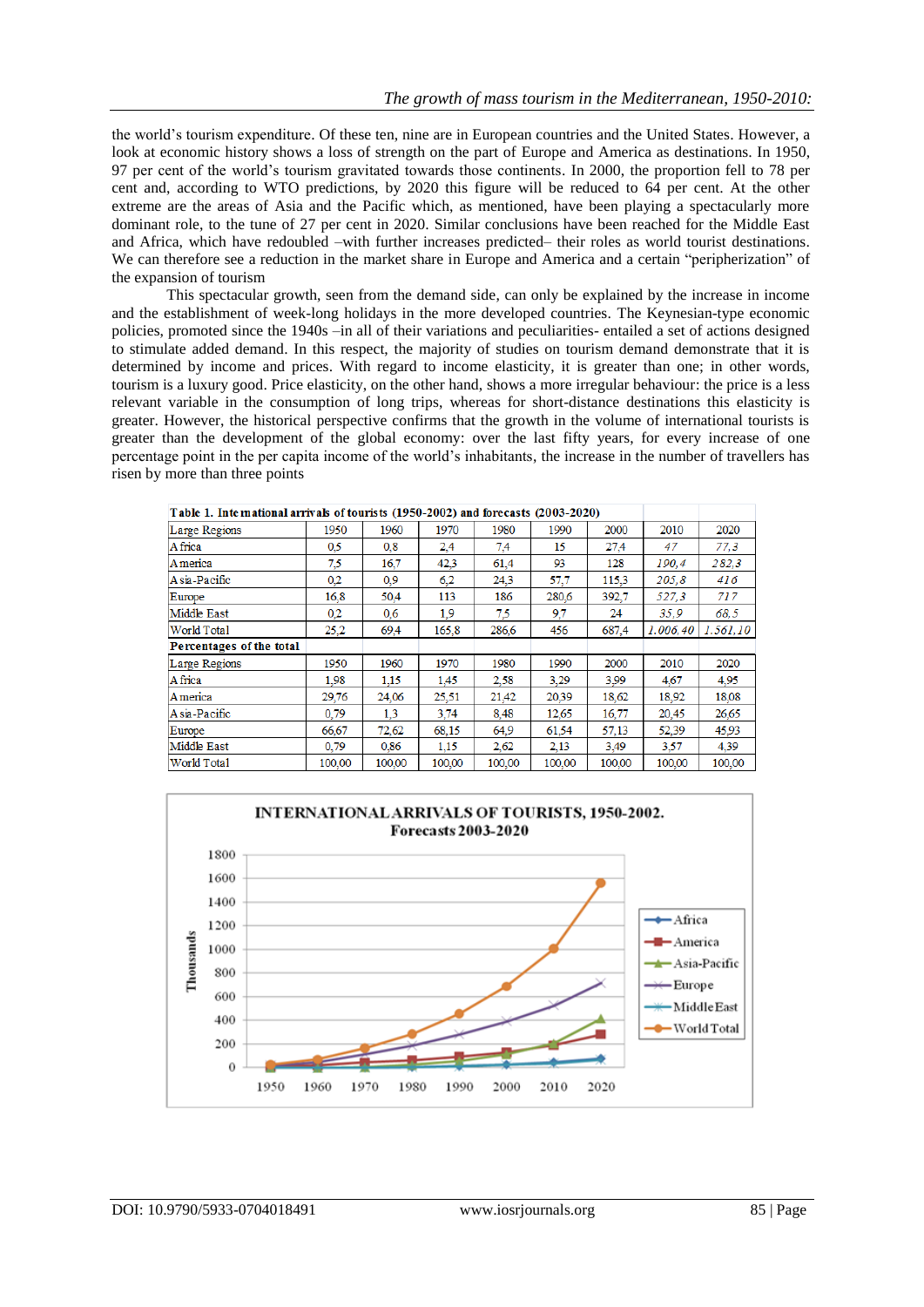the world"s tourism expenditure. Of these ten, nine are in European countries and the United States. However, a look at economic history shows a loss of strength on the part of Europe and America as destinations. In 1950, 97 per cent of the world"s tourism gravitated towards those continents. In 2000, the proportion fell to 78 per cent and, according to WTO predictions, by 2020 this figure will be reduced to 64 per cent. At the other extreme are the areas of Asia and the Pacific which, as mentioned, have been playing a spectacularly more dominant role, to the tune of 27 per cent in 2020. Similar conclusions have been reached for the Middle East and Africa, which have redoubled –with further increases predicted– their roles as world tourist destinations. We can therefore see a reduction in the market share in Europe and America and a certain "peripherization" of the expansion of tourism

This spectacular growth, seen from the demand side, can only be explained by the increase in income and the establishment of week-long holidays in the more developed countries. The Keynesian-type economic policies, promoted since the 1940s –in all of their variations and peculiarities- entailed a set of actions designed to stimulate added demand. In this respect, the majority of studies on tourism demand demonstrate that it is determined by income and prices. With regard to income elasticity, it is greater than one; in other words, tourism is a luxury good. Price elasticity, on the other hand, shows a more irregular behaviour: the price is a less relevant variable in the consumption of long trips, whereas for short-distance destinations this elasticity is greater. However, the historical perspective confirms that the growth in the volume of international tourists is greater than the development of the global economy: over the last fifty years, for every increase of one percentage point in the per capita income of the world"s inhabitants, the increase in the number of travellers has risen by more than three points

| 1 avit 1. 18tt matholai ailivad ol toulists (1790–2002) and folctasts (2009–2020) |        |        |        |        |        |        |           |           |
|-----------------------------------------------------------------------------------|--------|--------|--------|--------|--------|--------|-----------|-----------|
| Large Regions                                                                     | 1950   | 1960   | 1970   | 1980   | 1990   | 2000   | 2010      | 2020      |
| A frica                                                                           | 0,5    | 0,8    | 2,4    | 7,4    | 15     | 27.4   | 47        | 77,3      |
| America                                                                           | 7,5    | 16,7   | 42,3   | 61,4   | 93     | 128    | 190.4     | 282.3     |
| A sia-Pacific                                                                     | 0.2    | 0.9    | 6.2    | 24.3   | 57,7   | 115.3  | 205,8     | 416       |
| Europe                                                                            | 16,8   | 50,4   | 113    | 186    | 280,6  | 392,7  | 527,3     | 717       |
| Middle East                                                                       | 0,2    | 0,6    | 1,9    | 7,5    | 9,7    | 24     | 35,9      | 68.5      |
| World Total                                                                       | 25.2   | 69,4   | 165,8  | 286,6  | 456    | 687.4  | 1.006, 40 | 1.561, 10 |
| Percentages of the total                                                          |        |        |        |        |        |        |           |           |
| Large Regions                                                                     | 1950   | 1960   | 1970   | 1980   | 1990   | 2000   | 2010      | 2020      |
| A frica                                                                           | 1,98   | 1,15   | 1,45   | 2,58   | 3,29   | 3.99   | 4,67      | 4,95      |
| <b>A</b> merica                                                                   | 29,76  | 24,06  | 25,51  | 21,42  | 20.39  | 18,62  | 18,92     | 18,08     |
| A sia-Pacific                                                                     | 0,79   | 1,3    | 3,74   | 8.48   | 12.65  | 16,77  | 20,45     | 26,65     |
| Europe                                                                            | 66.67  | 72,62  | 68,15  | 64.9   | 61.54  | 57,13  | 52,39     | 45.93     |
| Middle East                                                                       | 0,79   | 0,86   | 1,15   | 2.62   | 2,13   | 3.49   | 3.57      | 4,39      |
| World Total                                                                       | 100,00 | 100,00 | 100,00 | 100,00 | 100,00 | 100,00 | 100,00    | 100,00    |

Table 1. International arrivals of tourists (1050, 2002) and femogets (2003, 2020)

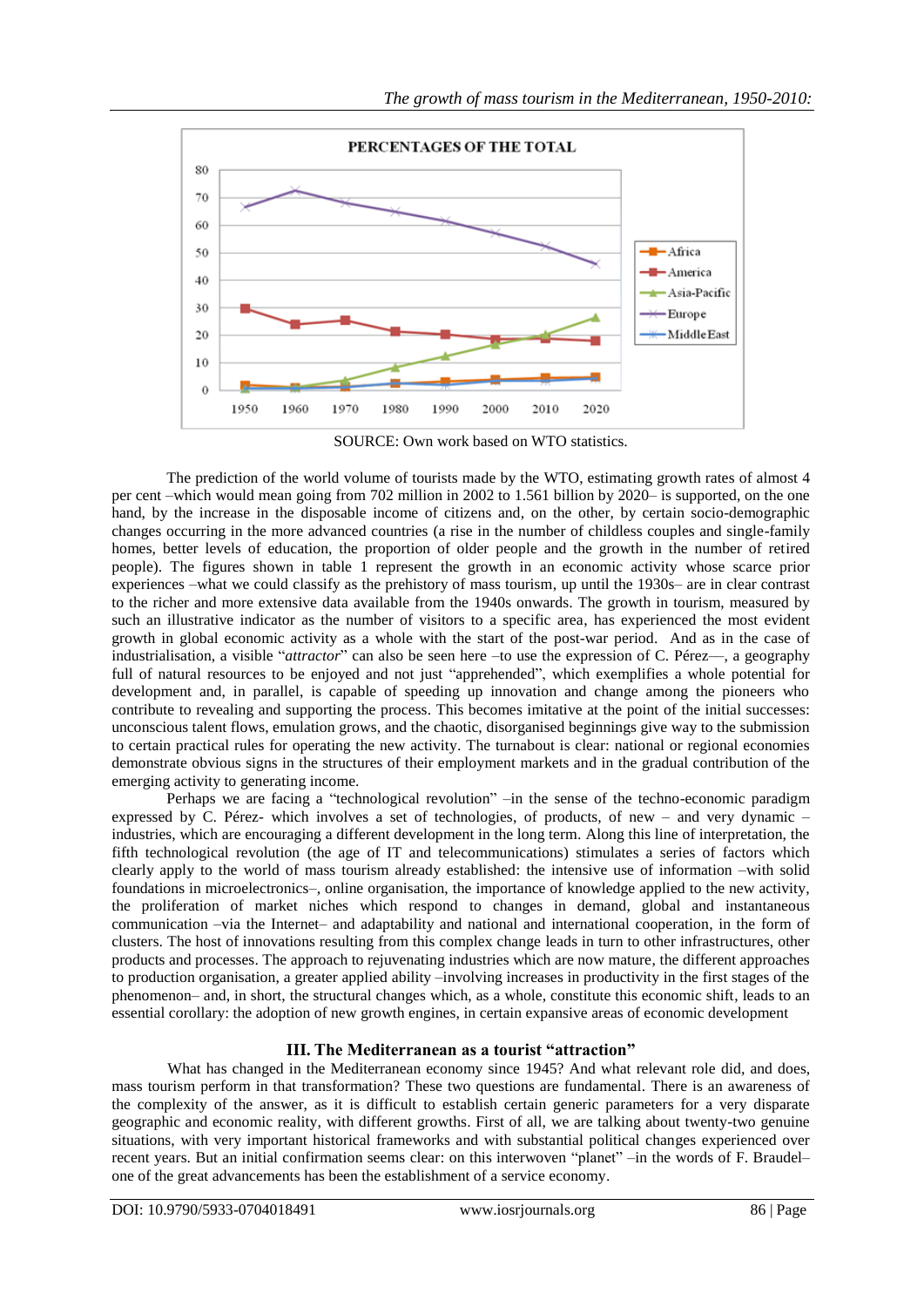

SOURCE: Own work based on WTO statistics.

The prediction of the world volume of tourists made by the WTO, estimating growth rates of almost 4 per cent –which would mean going from 702 million in 2002 to 1.561 billion by 2020– is supported, on the one hand, by the increase in the disposable income of citizens and, on the other, by certain socio-demographic changes occurring in the more advanced countries (a rise in the number of childless couples and single-family homes, better levels of education, the proportion of older people and the growth in the number of retired people). The figures shown in table 1 represent the growth in an economic activity whose scarce prior experiences –what we could classify as the prehistory of mass tourism, up until the 1930s– are in clear contrast to the richer and more extensive data available from the 1940s onwards. The growth in tourism, measured by such an illustrative indicator as the number of visitors to a specific area, has experienced the most evident growth in global economic activity as a whole with the start of the post-war period. And as in the case of industrialisation, a visible "*attractor*" can also be seen here –to use the expression of C. Pérez––, a geography full of natural resources to be enjoyed and not just "apprehended", which exemplifies a whole potential for development and, in parallel, is capable of speeding up innovation and change among the pioneers who contribute to revealing and supporting the process. This becomes imitative at the point of the initial successes: unconscious talent flows, emulation grows, and the chaotic, disorganised beginnings give way to the submission to certain practical rules for operating the new activity. The turnabout is clear: national or regional economies demonstrate obvious signs in the structures of their employment markets and in the gradual contribution of the emerging activity to generating income.

Perhaps we are facing a "technological revolution" –in the sense of the techno-economic paradigm expressed by C. Pérez- which involves a set of technologies, of products, of new – and very dynamic – industries, which are encouraging a different development in the long term. Along this line of interpretation, the fifth technological revolution (the age of IT and telecommunications) stimulates a series of factors which clearly apply to the world of mass tourism already established: the intensive use of information –with solid foundations in microelectronics–, online organisation, the importance of knowledge applied to the new activity, the proliferation of market niches which respond to changes in demand, global and instantaneous communication –via the Internet– and adaptability and national and international cooperation, in the form of clusters. The host of innovations resulting from this complex change leads in turn to other infrastructures, other products and processes. The approach to rejuvenating industries which are now mature, the different approaches to production organisation, a greater applied ability –involving increases in productivity in the first stages of the phenomenon– and, in short, the structural changes which, as a whole, constitute this economic shift, leads to an essential corollary: the adoption of new growth engines, in certain expansive areas of economic development

## **III. The Mediterranean as a tourist "attraction"**

What has changed in the Mediterranean economy since 1945? And what relevant role did, and does, mass tourism perform in that transformation? These two questions are fundamental. There is an awareness of the complexity of the answer, as it is difficult to establish certain generic parameters for a very disparate geographic and economic reality, with different growths. First of all, we are talking about twenty-two genuine situations, with very important historical frameworks and with substantial political changes experienced over recent years. But an initial confirmation seems clear: on this interwoven "planet" –in the words of F. Braudel– one of the great advancements has been the establishment of a service economy.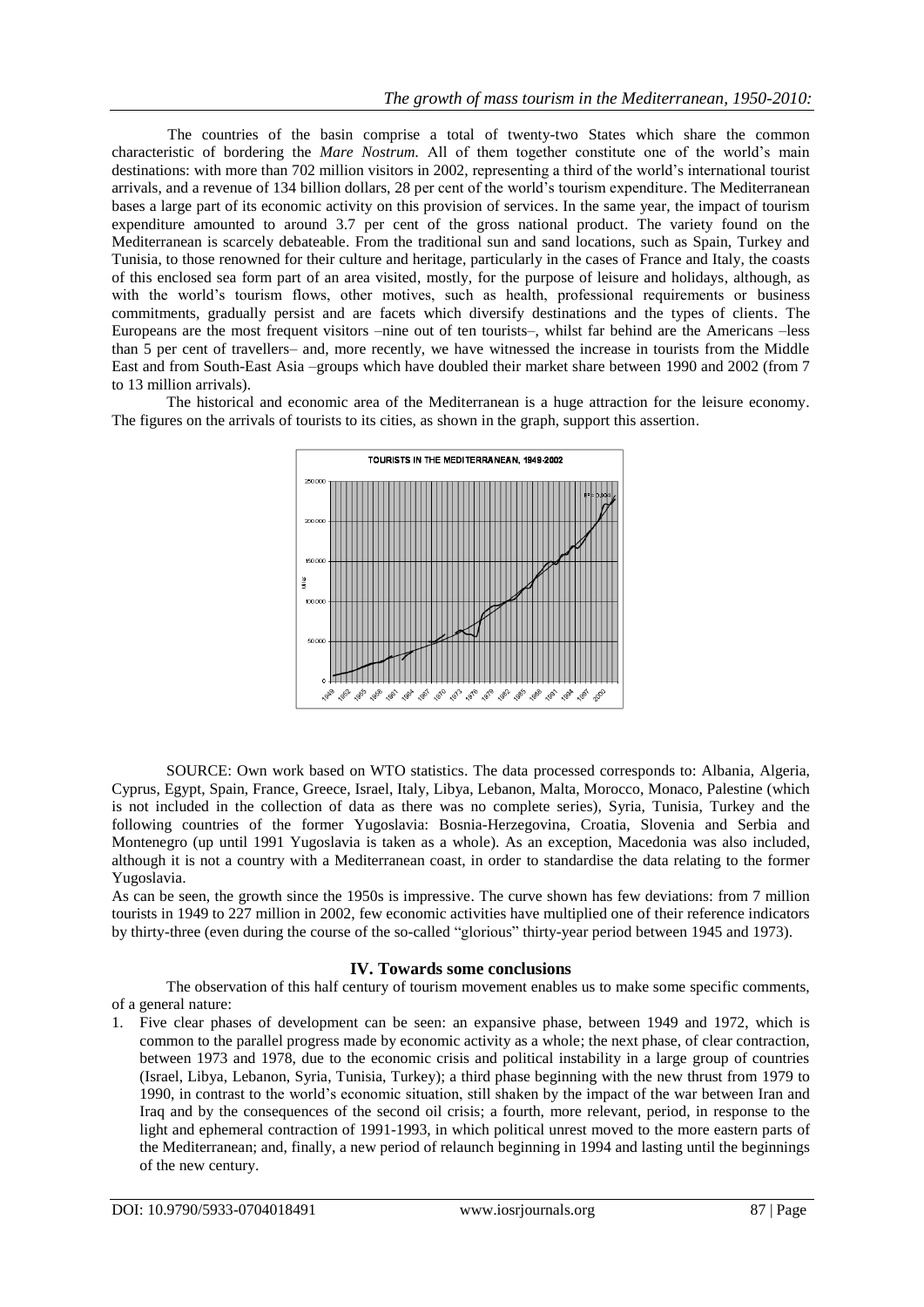The countries of the basin comprise a total of twenty-two States which share the common characteristic of bordering the *Mare Nostrum.* All of them together constitute one of the world"s main destinations: with more than 702 million visitors in 2002, representing a third of the world's international tourist arrivals, and a revenue of 134 billion dollars, 28 per cent of the world"s tourism expenditure. The Mediterranean bases a large part of its economic activity on this provision of services. In the same year, the impact of tourism expenditure amounted to around 3.7 per cent of the gross national product. The variety found on the Mediterranean is scarcely debateable. From the traditional sun and sand locations, such as Spain, Turkey and Tunisia, to those renowned for their culture and heritage, particularly in the cases of France and Italy, the coasts of this enclosed sea form part of an area visited, mostly, for the purpose of leisure and holidays, although, as with the world's tourism flows, other motives, such as health, professional requirements or business commitments, gradually persist and are facets which diversify destinations and the types of clients. The Europeans are the most frequent visitors –nine out of ten tourists–, whilst far behind are the Americans –less than 5 per cent of travellers– and, more recently, we have witnessed the increase in tourists from the Middle East and from South-East Asia –groups which have doubled their market share between 1990 and 2002 (from 7 to 13 million arrivals).

The historical and economic area of the Mediterranean is a huge attraction for the leisure economy. The figures on the arrivals of tourists to its cities, as shown in the graph, support this assertion.



SOURCE: Own work based on WTO statistics. The data processed corresponds to: Albania, Algeria, Cyprus, Egypt, Spain, France, Greece, Israel, Italy, Libya, Lebanon, Malta, Morocco, Monaco, Palestine (which is not included in the collection of data as there was no complete series), Syria, Tunisia, Turkey and the following countries of the former Yugoslavia: Bosnia-Herzegovina, Croatia, Slovenia and Serbia and Montenegro (up until 1991 Yugoslavia is taken as a whole). As an exception, Macedonia was also included, although it is not a country with a Mediterranean coast, in order to standardise the data relating to the former Yugoslavia.

As can be seen, the growth since the 1950s is impressive. The curve shown has few deviations: from 7 million tourists in 1949 to 227 million in 2002, few economic activities have multiplied one of their reference indicators by thirty-three (even during the course of the so-called "glorious" thirty-year period between 1945 and 1973).

## **IV. Towards some conclusions**

The observation of this half century of tourism movement enables us to make some specific comments, of a general nature:

1. Five clear phases of development can be seen: an expansive phase, between 1949 and 1972, which is common to the parallel progress made by economic activity as a whole; the next phase, of clear contraction, between 1973 and 1978, due to the economic crisis and political instability in a large group of countries (Israel, Libya, Lebanon, Syria, Tunisia, Turkey); a third phase beginning with the new thrust from 1979 to 1990, in contrast to the world"s economic situation, still shaken by the impact of the war between Iran and Iraq and by the consequences of the second oil crisis; a fourth, more relevant, period, in response to the light and ephemeral contraction of 1991-1993, in which political unrest moved to the more eastern parts of the Mediterranean; and, finally, a new period of relaunch beginning in 1994 and lasting until the beginnings of the new century.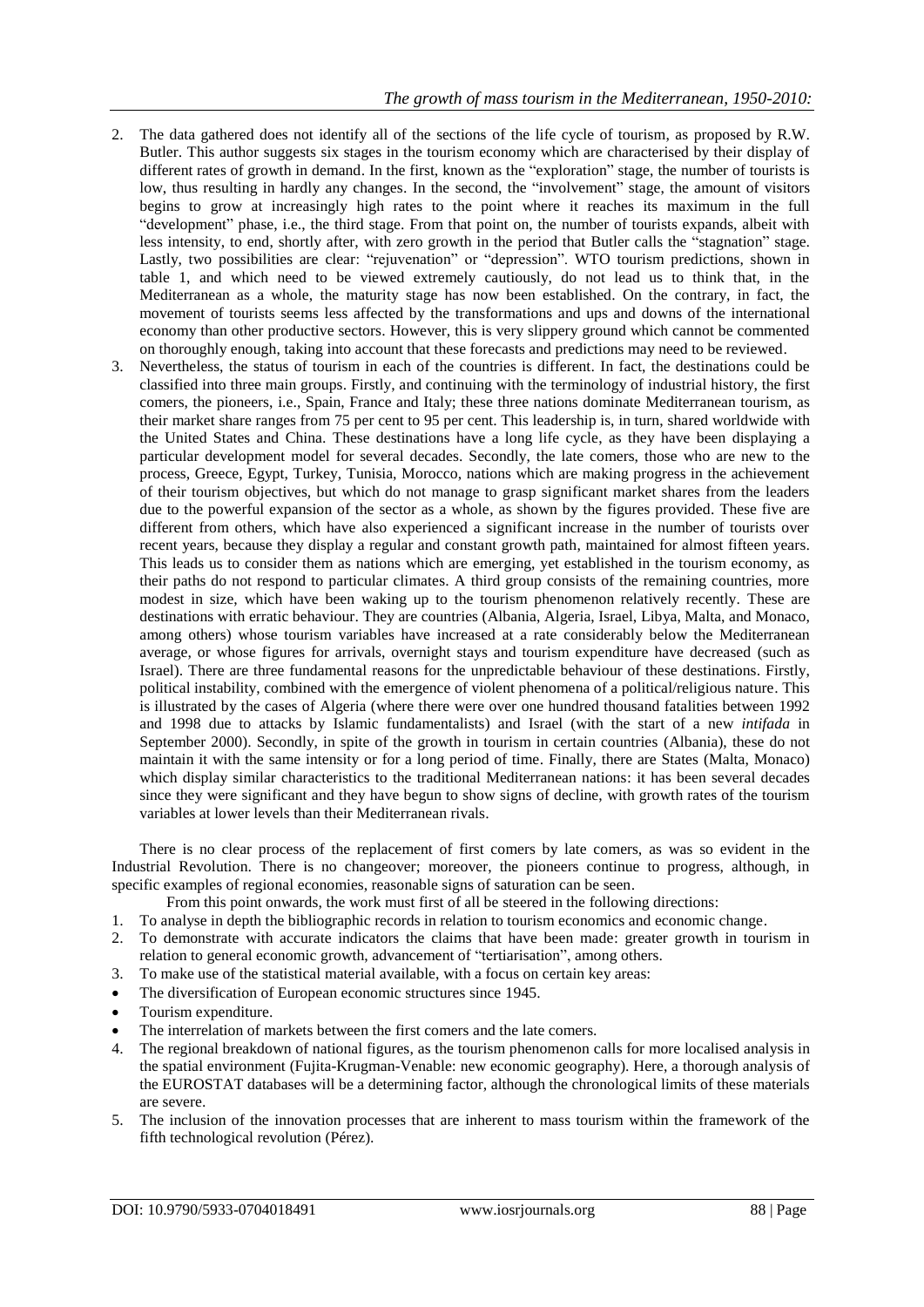- 2. The data gathered does not identify all of the sections of the life cycle of tourism, as proposed by R.W. Butler. This author suggests six stages in the tourism economy which are characterised by their display of different rates of growth in demand. In the first, known as the "exploration" stage, the number of tourists is low, thus resulting in hardly any changes. In the second, the "involvement" stage, the amount of visitors begins to grow at increasingly high rates to the point where it reaches its maximum in the full "development" phase, i.e., the third stage. From that point on, the number of tourists expands, albeit with less intensity, to end, shortly after, with zero growth in the period that Butler calls the "stagnation" stage. Lastly, two possibilities are clear: "rejuvenation" or "depression". WTO tourism predictions, shown in table 1, and which need to be viewed extremely cautiously, do not lead us to think that, in the Mediterranean as a whole, the maturity stage has now been established. On the contrary, in fact, the movement of tourists seems less affected by the transformations and ups and downs of the international economy than other productive sectors. However, this is very slippery ground which cannot be commented on thoroughly enough, taking into account that these forecasts and predictions may need to be reviewed.
- 3. Nevertheless, the status of tourism in each of the countries is different. In fact, the destinations could be classified into three main groups. Firstly, and continuing with the terminology of industrial history, the first comers, the pioneers, i.e., Spain, France and Italy; these three nations dominate Mediterranean tourism, as their market share ranges from 75 per cent to 95 per cent. This leadership is, in turn, shared worldwide with the United States and China. These destinations have a long life cycle, as they have been displaying a particular development model for several decades. Secondly, the late comers, those who are new to the process, Greece, Egypt, Turkey, Tunisia, Morocco, nations which are making progress in the achievement of their tourism objectives, but which do not manage to grasp significant market shares from the leaders due to the powerful expansion of the sector as a whole, as shown by the figures provided. These five are different from others, which have also experienced a significant increase in the number of tourists over recent years, because they display a regular and constant growth path, maintained for almost fifteen years. This leads us to consider them as nations which are emerging, yet established in the tourism economy, as their paths do not respond to particular climates. A third group consists of the remaining countries, more modest in size, which have been waking up to the tourism phenomenon relatively recently. These are destinations with erratic behaviour. They are countries (Albania, Algeria, Israel, Libya, Malta, and Monaco, among others) whose tourism variables have increased at a rate considerably below the Mediterranean average, or whose figures for arrivals, overnight stays and tourism expenditure have decreased (such as Israel). There are three fundamental reasons for the unpredictable behaviour of these destinations. Firstly, political instability, combined with the emergence of violent phenomena of a political/religious nature. This is illustrated by the cases of Algeria (where there were over one hundred thousand fatalities between 1992 and 1998 due to attacks by Islamic fundamentalists) and Israel (with the start of a new *intifada* in September 2000). Secondly, in spite of the growth in tourism in certain countries (Albania), these do not maintain it with the same intensity or for a long period of time. Finally, there are States (Malta, Monaco) which display similar characteristics to the traditional Mediterranean nations: it has been several decades since they were significant and they have begun to show signs of decline, with growth rates of the tourism variables at lower levels than their Mediterranean rivals.

There is no clear process of the replacement of first comers by late comers, as was so evident in the Industrial Revolution. There is no changeover; moreover, the pioneers continue to progress, although, in specific examples of regional economies, reasonable signs of saturation can be seen.

- From this point onwards, the work must first of all be steered in the following directions:
- 1. To analyse in depth the bibliographic records in relation to tourism economics and economic change.
- 2. To demonstrate with accurate indicators the claims that have been made: greater growth in tourism in relation to general economic growth, advancement of "tertiarisation", among others.
- 3. To make use of the statistical material available, with a focus on certain key areas:
- The diversification of European economic structures since 1945.
- Tourism expenditure.
- The interrelation of markets between the first comers and the late comers.
- 4. The regional breakdown of national figures, as the tourism phenomenon calls for more localised analysis in the spatial environment (Fujita-Krugman-Venable: new economic geography). Here, a thorough analysis of the EUROSTAT databases will be a determining factor, although the chronological limits of these materials are severe.
- 5. The inclusion of the innovation processes that are inherent to mass tourism within the framework of the fifth technological revolution (Pérez).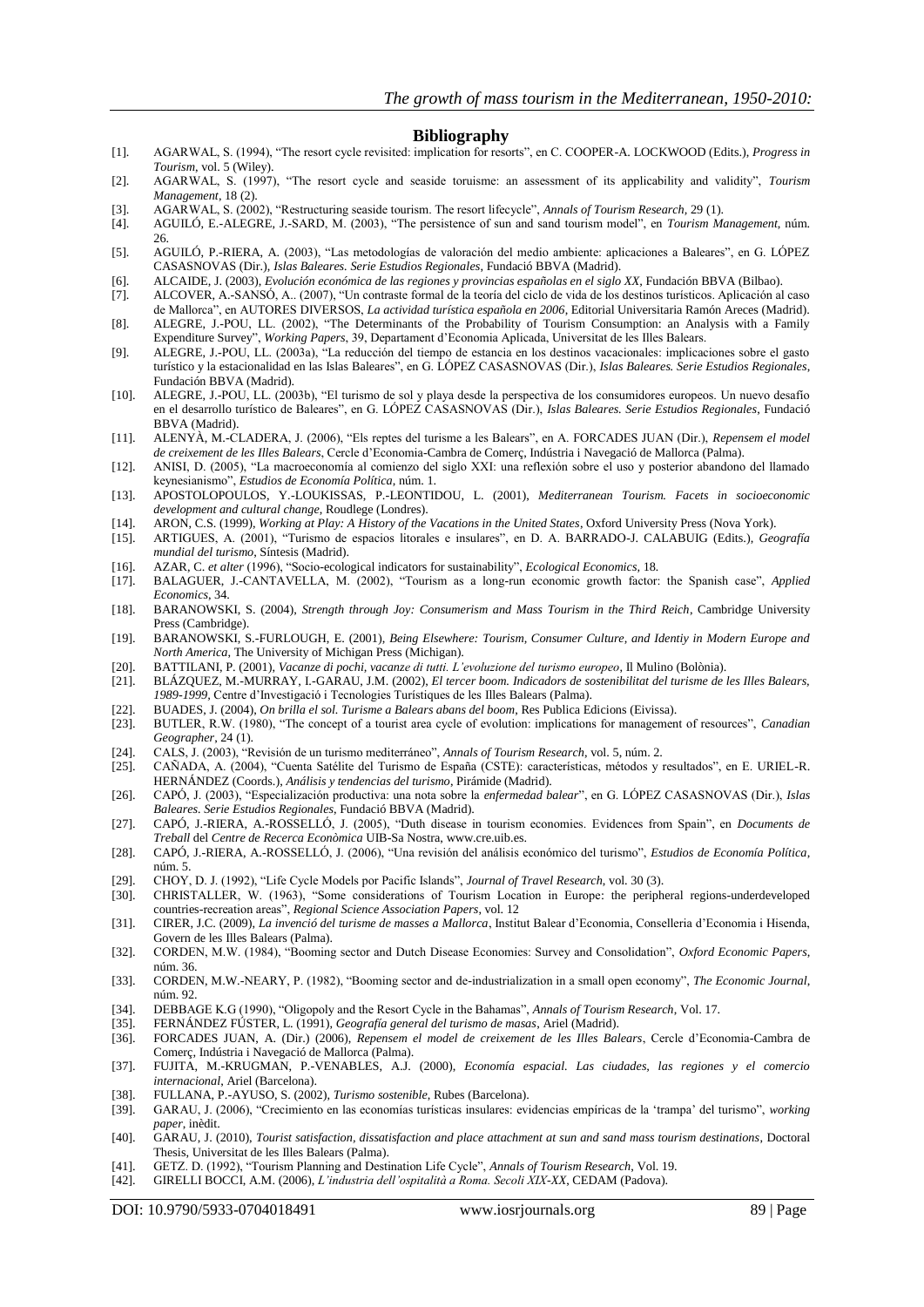### **Bibliography**

- [1]. AGARWAL, S. (1994), "The resort cycle revisited: implication for resorts", en C. COOPER-A. LOCKWOOD (Edits.), *Progress in Tourism*, vol. 5 (Wiley).
- [2]. AGARWAL, S. (1997), "The resort cycle and seaside toruisme: an assessment of its applicability and validity", *Tourism Management*, 18 (2).
- [3]. AGARWAL, S. (2002), "Restructuring seaside tourism. The resort lifecycle", *Annals of Tourism Research,* 29 (1).
- [4]. AGUILÓ, E.-ALEGRE, J.-SARD, M. (2003), "The persistence of sun and sand tourism model", en *Tourism Management*, núm. 26.
- [5]. AGUILÓ, P.-RIERA, A. (2003), "Las metodologías de valoración del medio ambiente: aplicaciones a Baleares", en G. LÓPEZ CASASNOVAS (Dir.), *Islas Baleares. Serie Estudios Regionales*, Fundació BBVA (Madrid).
- [6]. ALCAIDE, J. (2003), *Evolución económica de las regiones y provincias españolas en el siglo XX,* Fundación BBVA (Bilbao).
- [7]. ALCOVER, A.-SANSÓ, A.. (2007), "Un contraste formal de la teoría del ciclo de vida de los destinos turísticos. Aplicación al caso de Mallorca", en AUTORES DIVERSOS, *La actividad turística española en 2006*, Editorial Universitaria Ramón Areces (Madrid). [8]. ALEGRE, J.-POU, LL. (2002), ["The Determinants of the Probability of Tourism Consumption: an Analysis with a Family](http://www.uib.es/depart/deaweb/deawp/pdf/DT39.pdf)
- [Expenditure Survey"](http://www.uib.es/depart/deaweb/deawp/pdf/DT39.pdf), *Working Papers*, 39, Departament d"Economia Aplicada, Universitat de les Illes Balears.
- [9]. ALEGRE, J.-POU, LL. (2003a), "La reducción del tiempo de estancia en los destinos vacacionales: implicaciones sobre el gasto turístico y la estacionalidad en las Islas Baleares", en G. LÓPEZ CASASNOVAS (Dir.), *Islas Baleares. Serie Estudios Regionales*, Fundación BBVA (Madrid).
- [10]. ALEGRE, J.-POU, LL. (2003b), "El turismo de sol y playa desde la perspectiva de los consumidores europeos. Un nuevo desafío en el desarrollo turístico de Baleares", en G. LÓPEZ CASASNOVAS (Dir.), *Islas Baleares. Serie Estudios Regionales*, Fundació BBVA (Madrid).
- [11]. ALENYÀ, M.-CLADERA, J. (2006), "Els reptes del turisme a les Balears", en A. FORCADES JUAN (Dir.), *Repensem el model de creixement de les Illes Balears*, Cercle d"Economia-Cambra de Comerç, Indústria i Navegació de Mallorca (Palma).
- [12]. ANISI, D. (2005), "La macroeconomía al comienzo del siglo XXI: una reflexión sobre el uso y posterior abandono del llamado keynesianismo", *Estudios de Economía Política*, núm. 1.
- [13]. APOSTOLOPOULOS, Y.-LOUKISSAS, P.-LEONTIDOU, L. (2001), *Mediterranean Tourism. Facets in socioeconomic development and cultural change*, Roudlege (Londres).
- [14]. ARON, C.S. (1999), *Working at Play: A History of the Vacations in the United States*, Oxford University Press (Nova York).
- [15]. ARTIGUES, A. (2001), "Turismo de espacios litorales e insulares", en D. A. BARRADO-J. CALABUIG (Edits.), *Geografía mundial del turismo*, Síntesis (Madrid).
- [16]. AZAR, C. *et alter* (1996), "Socio-ecological indicators for sustainability", *Ecological Economics,* 18*.*
- [17]. BALAGUER, J.-CANTAVELLA, M. (2002), "Tourism as a long-run economic growth factor: the Spanish case", *Applied Economics*, 34.
- [18]. BARANOWSKI, S. (2004), *Strength through Joy: Consumerism and Mass Tourism in the Third Reich*, Cambridge University Press (Cambridge).
- [19]. BARANOWSKI, S.-FURLOUGH, E. (2001), *Being Elsewhere: Tourism, Consumer Culture, and Identiy in Modern Europe and North America*, The University of Michigan Press (Michigan).
- [20]. BATTILANI, P. (2001), *Vacanze di pochi, vacanze di tutti. L'evoluzione del turismo europeo*, Il Mulino (Bolònia).
- [21]. BLÁZQUEZ, M.-MURRAY, I.-GARAU, J.M. (2002), *El tercer boom. Indicadors de sostenibilitat del turisme de les Illes Balears, 1989-1999,* Centre d"Investigació i Tecnologies Turístiques de les Illes Balears (Palma).
- [22]. BUADES, J. (2004), *On brilla el sol. Turisme a Balears abans del boom*, Res Publica Edicions (Eivissa).
- [23]. BUTLER, R.W. (1980), "The concept of a tourist area cycle of evolution: implications for management of resources", *Canadian Geographer*, 24 (1).
- [24]. CALS, J. (2003), "Revisión de un turismo mediterráneo", *Annals of Tourism Research*, vol. 5, núm. 2.
- [25]. CAÑADA, A. (2004), "Cuenta Satélite del Turismo de España (CSTE): características, métodos y resultados", en E. URIEL-R. HERNÁNDEZ (Coords.), *Análisis y tendencias del turismo*, Pirámide (Madrid).
- [26]. CAPÓ, J. (2003), "Especialización productiva: una nota sobre la *enfermedad balear*", en G. LÓPEZ CASASNOVAS (Dir.), *Islas Baleares. Serie Estudios Regionales*, Fundació BBVA (Madrid).
- [27]. CAPÓ, J.-RIERA, A.-ROSSELLÓ, J. (2005), "Duth disease in tourism economies. Evidences from Spain", en *Documents de Treball* del *Centre de Recerca Econòmica* UIB-Sa Nostra[, www.cre.uib.es.](http://www.cre.uib.es/)
- [28]. CAPÓ, J.-RIERA, A.-ROSSELLÓ, J. (2006), "Una revisión del análisis económico del turismo", *Estudios de Economía Política*, núm. 5.
- [29]. CHOY, D. J. (1992), "Life Cycle Models por Pacific Islands", *Journal of Travel Research*, vol. 30 (3).
- [30]. CHRISTALLER, W. (1963), "Some considerations of Tourism Location in Europe: the peripheral regions-underdeveloped countries-recreation areas", *Regional Science Association Papers*, vol. 12
- [31]. CIRER, J.C. (2009), *La invenció del turisme de masses a Mallorca*, Institut Balear d"Economia, Conselleria d"Economia i Hisenda, Govern de les Illes Balears (Palma).
- [32]. CORDEN, M.W. (1984), "Booming sector and Dutch Disease Economies: Survey and Consolidation", *Oxford Economic Papers*, núm. 36.
- [33]. CORDEN, M.W.-NEARY, P. (1982), "Booming sector and de-industrialization in a small open economy", *The Economic Journal*, núm. 92.
- [34]. DEBBAGE K.G (1990), "Oligopoly and the Resort Cycle in the Bahamas", *Annals of Tourism Research*, Vol. 17.
- [35]. FERNÁNDEZ FÚSTER, L. (1991), *Geografía general del turismo de masas*, Ariel (Madrid).
- [36]. FORCADES JUAN, A. (Dir.) (2006), *Repensem el model de creixement de les Illes Balears*, Cercle d"Economia-Cambra de Comerç, Indústria i Navegació de Mallorca (Palma).
- [37]. FUJITA, M.-KRUGMAN, P.-VENABLES, A.J. (2000), *Economía espacial. Las ciudades, las regiones y el comercio internacional*, Ariel (Barcelona).
- [38]. FULLANA, P.-AYUSO, S. (2002), *Turismo sostenible*, Rubes (Barcelona).
- [39]. GARAU, J. (2006), "Crecimiento en las economías turísticas insulares: evidencias empíricas de la "trampa" del turismo", *working paper*, inèdit.
- [40]. GARAU, J. (2010), *Tourist satisfaction, dissatisfaction and place attachment at sun and sand mass tourism destinations*, Doctoral Thesis, Universitat de les Illes Balears (Palma).
- [41]. GETZ. D. (1992), "Tourism Planning and Destination Life Cycle", *Annals of Tourism Research*, Vol. 19.
- [42]. GIRELLI BOCCI, A.M. (2006), *L'industria dell'ospitalità a Roma. Secoli XIX-XX*, CEDAM (Padova).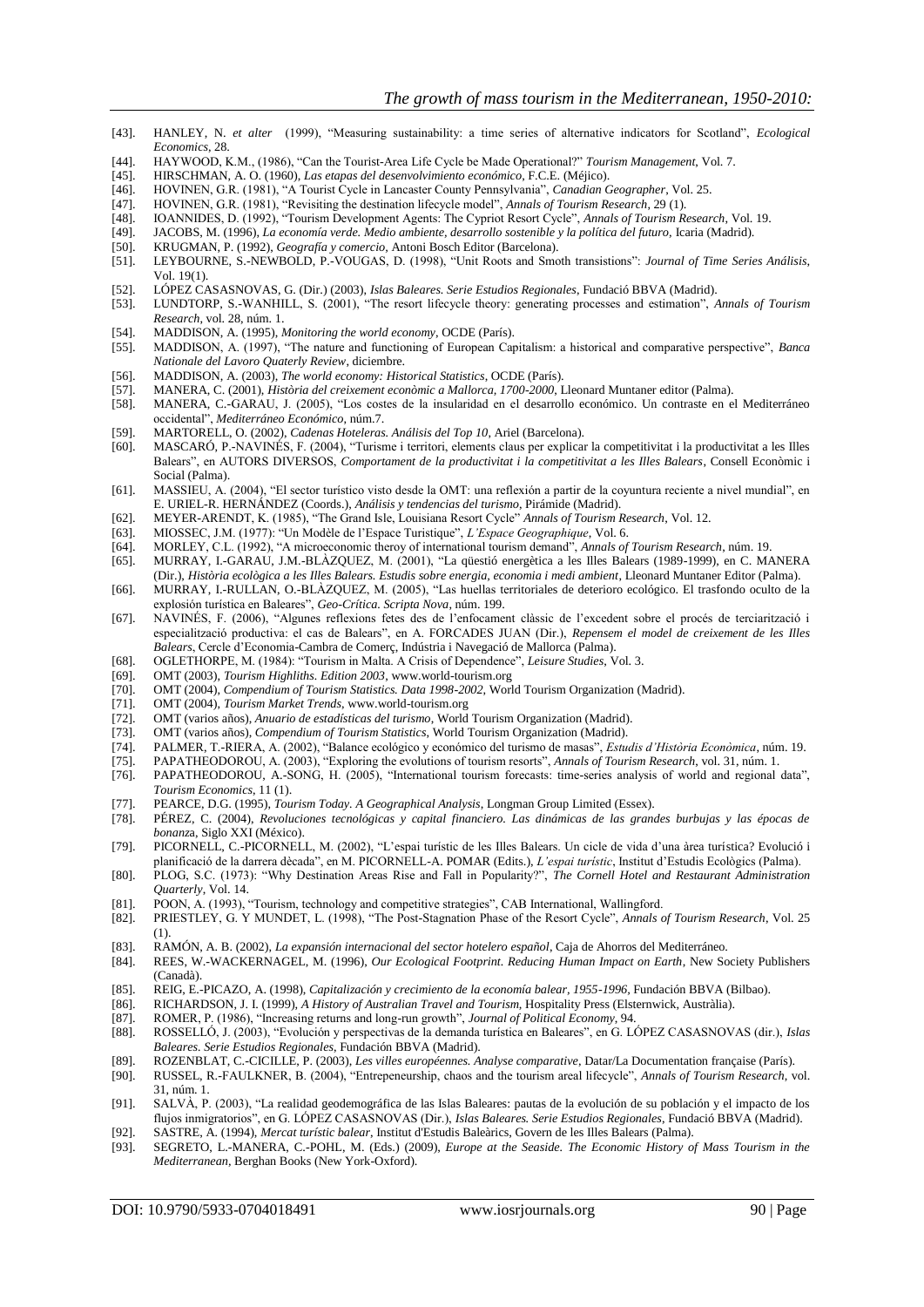- [43]. HANLEY, N. *et alter* (1999), "Measuring sustainability: a time series of alternative indicators for Scotland", *Ecological Economics*, 28.
- [44]. HAYWOOD, K.M., (1986), "Can the Tourist-Area Life Cycle be Made Operational?" *Tourism Management*, Vol. 7.
- [45]. HIRSCHMAN, A. O. (1960), *Las etapas del desenvolvimiento económico*, F.C.E. (Méjico).
- [46]. HOVINEN, G.R. (1981), "A Tourist Cycle in Lancaster County Pennsylvania", *Canadian Geographer*, Vol. 25.
- [47]. HOVINEN, G.R. (1981), "Revisiting the destination lifecycle model", *Annals of Tourism Research*, 29 (1).
- [48]. IOANNIDES, D. (1992), "Tourism Development Agents: The Cypriot Resort Cycle", *Annals of Tourism Research*, Vol. 19.
- [49]. JACOBS, M. (1996), *La economía verde. Medio ambiente, desarrollo sostenible y la política del futuro*, Icaria (Madrid).
- 
- [50]. KRUGMAN, P. (1992), *Geografía y comercio,* Antoni Bosch Editor (Barcelona). [51]. LEYBOURNE, S.-NEWBOLD, P.-VOUGAS, D. (1998), "Unit Roots and Smoth transistions": *Journal of Time Series Análisis*, Vol. 19(1).
- [52]. LÓPEZ CASASNOVAS, G. (Dir.) (2003), *Islas Baleares. Serie Estudios Regionales*, Fundació BBVA (Madrid).
- [53]. LUNDTORP, S.-WANHILL, S. (2001), "The resort lifecycle theory: generating processes and estimation", *Annals of Tourism Research*, vol. 28, núm. 1.
- [54]. MADDISON, A. (1995), *Monitoring the world economy*, OCDE (París).
- [55]. MADDISON, A. (1997), "The nature and functioning of European Capitalism: a historical and comparative perspective", *Banca Nationale del Lavoro Quaterly Review*, diciembre.
- [56]. MADDISON, A. (2003), *The world economy: Historical Statistics*, OCDE (París).
- [57]. MANERA, C. (2001), *Història del creixement econòmic a Mallorca, 1700-2000*, Lleonard Muntaner editor (Palma).
- [58]. MANERA, C.-GARAU, J. (2005), "Los costes de la insularidad en el desarrollo económico. Un contraste en el Mediterráneo occidental", *Mediterráneo Económico*, núm.7.
- [59]. MARTORELL, O. (2002), *Cadenas Hoteleras. Análisis del Top 10*, Ariel (Barcelona).
- [60]. MASCARÓ, P.-NAVINÉS, F. (2004), "Turisme i territori, elements claus per explicar la competitivitat i la productivitat a les Illes Balears", en AUTORS DIVERSOS, *Comportament de la productivitat i la competitivitat a les Illes Balears*, Consell Econòmic i Social (Palma).
- [61]. MASSIEU, A. (2004), "El sector turístico visto desde la OMT: una reflexión a partir de la coyuntura reciente a nivel mundial", en E. URIEL-R. HERNÁNDEZ (Coords.), *Análisis y tendencias del turismo*, Pirámide (Madrid).
- [62]. MEYER-ARENDT, K. (1985), "The Grand Isle, Louisiana Resort Cycle" *Annals of Tourism Research*, Vol. 12.
- [63]. MIOSSEC, J.M. (1977): "Un Modèle de l"Espace Turistique", *L'Espace Geographique*, Vol. 6.
- [64]. MORLEY, C.L. (1992), "A microeconomic theroy of international tourism demand", *Annals of Tourism Research*, núm. 19.
- [65]. MURRAY, I.-GARAU, J.M.-BLÀZQUEZ, M. (2001), "La qüestió energètica a les Illes Balears (1989-1999), en C. MANERA
- (Dir.), *Història ecològica a les Illes Balears. Estudis sobre energia, economia i medi ambient*, Lleonard Muntaner Editor (Palma). [66]. MURRAY, I.-RULLAN, O.-BLÀZQUEZ, M. (2005), "Las huellas territoriales de deterioro ecológico. El trasfondo oculto de la explosión turística en Baleares", *Geo-Crítica. Scripta Nova*, núm. 199.
- [67]. NAVINÉS, F. (2006), "Algunes reflexions fetes des de l"enfocament clàssic de l"excedent sobre el procés de terciarització i especialització productiva: el cas de Balears", en A. FORCADES JUAN (Dir.), *Repensem el model de creixement de les Illes Balears*, Cercle d"Economia-Cambra de Comerç, Indústria i Navegació de Mallorca (Palma).
- [68]. OGLETHORPE, M. (1984): "Tourism in Malta. A Crisis of Dependence", *Leisure Studies*, Vol. 3.
- [69]. OMT (2003), *Tourism Highliths. Edition 2003*[, www.world-tourism.org](http://www.world-tourism.org/)
- [70]. OMT (2004), *Compendium of Tourism Statistics. Data 1998-2002*, World Tourism Organization (Madrid).
- [71]. OMT (2004), *Tourism Market Trends*[, www.world-tourism.org](http://www.world-tourism.org/)
- [72]. OMT (varios años), *Anuario de estadísticas del turismo*, World Tourism Organization (Madrid).
- [73]. OMT (varios años), *Compendium of Tourism Statistics*, World Tourism Organization (Madrid).
- [74]. PALMER, T.-RIERA, A. (2002), "Balance ecológico y económico del turismo de masas", *Estudis d'Història Econòmica*, núm. 19.
- [75]. PAPATHEODOROU, A. (2003), "Exploring the evolutions of tourism resorts", *Annals of Tourism Research*, vol. 31, núm. 1.
- [76]. PAPATHEODOROU, A.-SONG, H. (2005), "International tourism forecasts: time-series analysis of world and regional data", *Tourism Economics*, 11 (1).
- [77]. PEARCE, D.G. (1995), *Tourism Today. A Geographical Analysis*, Longman Group Limited (Essex).
- [78]. PÉREZ, C. (2004), *Revoluciones tecnológicas y capital financiero. Las dinámicas de las grandes burbujas y las épocas de bonanz*a, Siglo XXI (México).
- [79]. PICORNELL, C.-PICORNELL, M. (2002), "L"espai turístic de les Illes Balears. Un cicle de vida d"una àrea turística? Evolució i planificació de la darrera dècada", en M. PICORNELL-A. POMAR (Edits.), *L'espai turístic*, Institut d"Estudis Ecològics (Palma).
- [80]. PLOG, S.C. (1973): "Why Destination Areas Rise and Fall in Popularity?", *The Cornell Hotel and Restaurant Administration Quarterly*, Vol. 14.
- [81]. POON, A. (1993), "Tourism, technology and competitive strategies", CAB International, Wallingford.
- [82]. PRIESTLEY, G. Y MUNDET, L. (1998), "The Post-Stagnation Phase of the Resort Cycle", *Annals of Tourism Research*, Vol. 25 (1).
- [83]. RAMÓN, A. B. (2002), *La expansión internacional del sector hotelero español*, Caja de Ahorros del Mediterráneo.
- [84]. REES, W.-WACKERNAGEL, M. (1996), *Our Ecological Footprint. Reducing Human Impact on Earth*, New Society Publishers (Canadà).
- [85]. REIG, E.-PICAZO, A. (1998), *Capitalización y crecimiento de la economía balear, 1955-1996,* Fundación BBVA (Bilbao).
- [86]. RICHARDSON, J. I. (1999), *A History of Australian Travel and Tourism,* Hospitality Press (Elsternwick, Austràlia).
- [87]. ROMER, P. (1986), "Increasing returns and long-run growth", *Journal of Political Economy*, 94. [88]. ROSSELLÓ, J. (2003), "Evolución y perspectivas de la demanda turística en Baleares", en G. LÓPEZ CASASNOVAS (dir.), *Islas Baleares. Serie Estudios Regionales*, Fundación BBVA (Madrid).
- [89]. ROZENBLAT, C.-CICILLE, P. (2003), *Les villes européennes. Analyse comparative*, Datar/La Documentation française (París).
- [90]. RUSSEL, R.-FAULKNER, B. (2004), "Entrepeneurship, chaos and the tourism areal lifecycle", *Annals of Tourism Research*, vol. 31, núm. 1.
- [91]. SALVÀ, P. (2003), "La realidad geodemográfica de las Islas Baleares: pautas de la evolución de su población y el impacto de los flujos inmigratorios", en G. LÓPEZ CASASNOVAS (Dir.), *Islas Baleares. Serie Estudios Regionales*, Fundació BBVA (Madrid).
- [92]. SASTRE, A. (1994), *Mercat turístic balear*, Institut d'Estudis Baleàrics, Govern de les Illes Balears (Palma).
- [93]. SEGRETO, L.-MANERA, C.-POHL, M. (Eds.) (2009), *Europe at the Seaside. The Economic History of Mass Tourism in the Mediterranean,* Berghan Books (New York-Oxford).